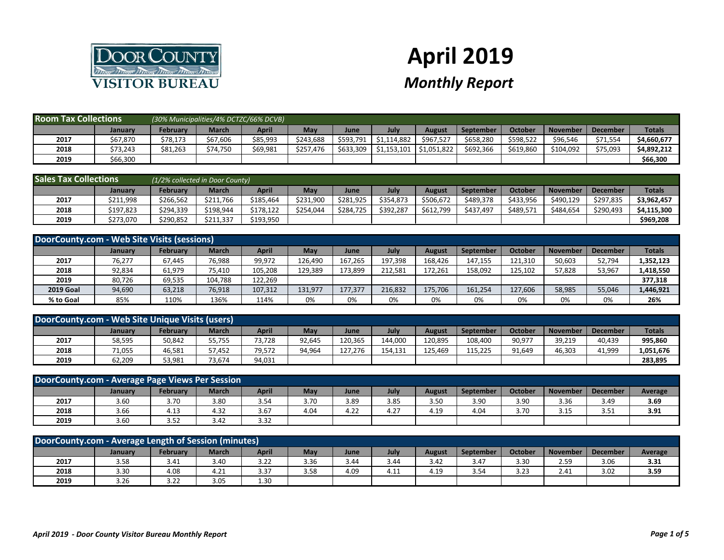

## **April 2019**

## *Monthly Report*

| <b>Room Tax Collections</b> |          |          | (30% Municipalities/4% DCTZC/66% DCVB) |          |           |           |             |               |                  |           |                 |                 |               |
|-----------------------------|----------|----------|----------------------------------------|----------|-----------|-----------|-------------|---------------|------------------|-----------|-----------------|-----------------|---------------|
|                             | Januarv  | February | March                                  | April    | May       | June      | July        | <b>August</b> | <b>September</b> | October   | <b>November</b> | <b>December</b> | <b>Totals</b> |
| 2017                        | \$67,870 | \$78,173 | \$67,606                               | \$85,993 | \$243,688 | \$593,791 | \$1,114,882 | \$967,527     | \$658,280        | \$598,522 | \$96,546        | \$71,554        | \$4,660,677   |
| 2018                        | \$73,243 | \$81,263 | \$74,750                               | \$69,981 | \$257,476 | \$633,309 | \$1,153,101 | 51,051,822    | \$692,366        | \$619,860 | \$104,092       | \$75,093        | \$4,892,212   |
| 2019                        | \$66,300 |          |                                        |          |           |           |             |               |                  |           |                 |                 | \$66,300      |

| <b>Sales Tax Collections</b> |           |           | (1/2% collected in Door County) |              |            |           |           |           |                  |           |                 |                 |               |
|------------------------------|-----------|-----------|---------------------------------|--------------|------------|-----------|-----------|-----------|------------------|-----------|-----------------|-----------------|---------------|
|                              | January   | February  | <b>March</b>                    | <b>April</b> | <b>May</b> | June      | July      | August    | <b>September</b> | October   | <b>November</b> | <b>December</b> | <b>Totals</b> |
| 2017                         | \$211,998 | \$266,562 | \$211,766                       | \$185,464    | \$231,900  | \$281,925 | \$354,873 | \$506,672 | \$489,378        | \$433,956 | \$490,129       | \$297,835       | \$3,962,457   |
| 2018                         | \$197,823 | \$294,339 | \$198,944                       | \$178,122    | \$254,044  | \$284,725 | \$392,287 | \$612,799 | \$437,497        | \$489,571 | \$484,654       | \$290,493       | \$4,115,300   |
| 2019                         | \$273,070 | \$290,852 | \$211,337                       | \$193,950    |            |           |           |           |                  |           |                 |                 | \$969,208     |

| DoorCounty.com - Web Site Visits (sessions) |                |                 |         |         |         |             |         |               |           |         |          |                 |               |
|---------------------------------------------|----------------|-----------------|---------|---------|---------|-------------|---------|---------------|-----------|---------|----------|-----------------|---------------|
|                                             | <b>January</b> | <b>February</b> | March   | April   | May     | <b>June</b> | July    | <b>August</b> | September | October | November | <b>December</b> | <b>Totals</b> |
| 2017                                        | 76,277         | 67,445          | 76,988  | 99,972  | 126,490 | 167,265     | 197,398 | 168,426       | 147,155   | 121,310 | 50,603   | 52,794          | 1,352,123     |
| 2018                                        | 92,834         | 61,979          | 75,410  | 105,208 | 129,389 | 173,899     | 212,581 | 172,261       | 158,092   | 125,102 | 57,828   | 53,967          | 1,418,550     |
| 2019                                        | 80,726         | 69,535          | 104,788 | 122,269 |         |             |         |               |           |         |          |                 | 377,318       |
| <b>2019 Goal</b>                            | 94,690         | 63,218          | 76,918  | 107,312 | 131,977 | 177,377     | 216,832 | 175,706       | 161,254   | 127,606 | 58,985   | 55,046          | 1,446,921     |
| % to Goal                                   | 85%            | 110%            | 136%    | 114%    | 0%      | 0%          | 0%      | 0%            | 0%        | 0%      | 0%       | 0%              | 26%           |

| DoorCounty.com - Web Site Unique Visits (users) |         |          |              |        |        |         |         |         |           |                      |                 |                 |               |
|-------------------------------------------------|---------|----------|--------------|--------|--------|---------|---------|---------|-----------|----------------------|-----------------|-----------------|---------------|
|                                                 | January | Februarv | <b>March</b> | April  | May    | June    | July    | August  | September | October              | <b>November</b> | <b>December</b> | <b>Totals</b> |
| 2017                                            | 58,595  | 50,842   | 55,755       | 73,728 | 92,645 | 120,365 | 144,000 | 120,895 | 108,400   | $90,97$ <sup>-</sup> | 39,219          | 40,439          | 995,860       |
| 2018                                            | 71,055  | 46,581   | 57,452       | 79,572 | 94,964 | 127,276 | 154,131 | 125,469 | 115,225   | 91,649               | 46,303          | 41,999          | 1,051,676     |
| 2019                                            | 62,209  | 53,981   | 73,674       | 94,031 |        |         |         |         |           |                      |                 |                 | 283,895       |

| DoorCounty.com - Average Page Views Per Session                                                                                                                                      |      |      |      |      |      |      |      |      |      |      |      |      |      |
|--------------------------------------------------------------------------------------------------------------------------------------------------------------------------------------|------|------|------|------|------|------|------|------|------|------|------|------|------|
| <b>March</b><br><b>April</b><br>July<br><b>February</b><br>October<br>May<br>November I<br><b>August</b><br><b>September</b><br><b>December</b><br><b>Average</b><br>June<br>January |      |      |      |      |      |      |      |      |      |      |      |      |      |
| 2017                                                                                                                                                                                 | 3.60 | 3.70 | 3.80 | 3.54 | 3.70 | 3.89 | 3.85 | 3.50 | 3.90 | 3.90 | 3.36 | 3.49 | 3.69 |
| 2018                                                                                                                                                                                 | 3.66 | 4.13 | 4.32 | 3.67 | 4.04 | 4.22 | 4.27 | 4.19 | 4.04 | 3.70 | 3.15 | 3.51 | 3.91 |
| 2019                                                                                                                                                                                 | 3.60 | 3.52 | 3.42 | 3.32 |      |      |      |      |      |      |      |      |      |

| DoorCounty.com - Average Length of Session (minutes)                                                                                                          |      |      |      |      |      |      |      |      |      |      |      |      |      |
|---------------------------------------------------------------------------------------------------------------------------------------------------------------|------|------|------|------|------|------|------|------|------|------|------|------|------|
| July<br>October<br><b>April</b><br><b>February</b><br>May<br>March<br>September<br>November<br><b>December</b><br>August<br><b>Average</b><br>June<br>January |      |      |      |      |      |      |      |      |      |      |      |      |      |
| 2017                                                                                                                                                          | 3.58 | 3.41 | 3.40 | 3.22 | 3.36 | 3.44 | 3.44 | 3.42 | 3.47 | 3.30 | 2.59 | 3.06 | 3.31 |
| 2018                                                                                                                                                          | 3.30 | 4.08 | 4.21 | 3.37 | 3.58 | 4.09 | 4.11 | 4.19 | 3.54 | 3.23 | 2.41 | 3.02 | 3.59 |
| 2019                                                                                                                                                          | 3.26 | 3.22 | 3.05 | 1.30 |      |      |      |      |      |      |      |      |      |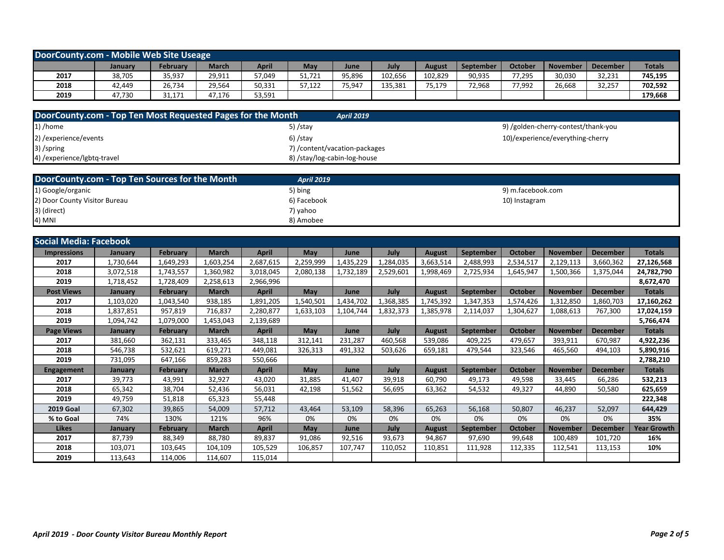| DoorCounty.com - Mobile Web Site Useage |         |                 |              |        |        |        |         |               |                  |         |          |                 |               |
|-----------------------------------------|---------|-----------------|--------------|--------|--------|--------|---------|---------------|------------------|---------|----------|-----------------|---------------|
|                                         | January | <b>February</b> | <b>March</b> | April  | May    | June   | July    | <b>August</b> | <b>September</b> | October | November | <b>December</b> | <b>Totals</b> |
| 2017                                    | 38,705  | 35,937          | 29,911       | 57,049 | 51,721 | 95,896 | 102,656 | 102,829       | 90,935           | 77,295  | 30,030   | 32,231          | 745,195       |
| 2018                                    | 42,449  | 26,734          | 29,564       | 50,331 | 57,122 | 75,947 | 135,381 | 75,179        | 72,968           | 77,992  | 26,668   | 32,257          | 702,592       |
| 2019                                    | 47,730  | 31,171          | 47,176       | 53,591 |        |        |         |               |                  |         |          |                 | 179,668       |

| DoorCounty.com - Top Ten Most Requested Pages for the Month | <b>April 2019</b>              |                                     |
|-------------------------------------------------------------|--------------------------------|-------------------------------------|
| $1)$ /home                                                  | 5) /stay                       | 9) /golden-cherry-contest/thank-you |
| 2) / experience/events                                      | $6)$ /stay                     | 10)/experience/everything-cherry    |
| 3) /spring                                                  | 7) / content/vacation-packages |                                     |
| 4) / experience/lgbtq-travel                                | 8) /stay/log-cabin-log-house   |                                     |

| DoorCounty.com - Top Ten Sources for the Month | <b>April 2019</b> |                   |
|------------------------------------------------|-------------------|-------------------|
| 1) Google/organic                              | 5) bing           | 9) m.facebook.com |
| 2) Door County Visitor Bureau                  | 6) Facebook       | 10) Instagram     |
| 3) (direct)                                    | 7) yahoo          |                   |
| 4) MNI                                         | 8) Amobee         |                   |

| <b>Social Media: Facebook</b> |                |                 |              |              |            |           |           |               |                  |                |                 |                 |                    |
|-------------------------------|----------------|-----------------|--------------|--------------|------------|-----------|-----------|---------------|------------------|----------------|-----------------|-----------------|--------------------|
| <b>Impressions</b>            | <b>January</b> | <b>February</b> | <b>March</b> | <b>April</b> | <b>May</b> | June      | July      | <b>August</b> | September        | October        | <b>November</b> | <b>December</b> | <b>Totals</b>      |
| 2017                          | 1,730,644      | 1,649,293       | 1,603,254    | 2,687,615    | 2,259,999  | 1,435,229 | 1,284,035 | 3,663,514     | 2,488,993        | 2,534,517      | 2,129,113       | 3,660,362       | 27,126,568         |
| 2018                          | 3,072,518      | 1,743,557       | 1,360,982    | 3,018,045    | 2,080,138  | 1,732,189 | 2,529,601 | 1,998,469     | 2,725,934        | 1,645,947      | 1,500,366       | 1,375,044       | 24,782,790         |
| 2019                          | 1,718,452      | 1,728,409       | 2,258,613    | 2,966,996    |            |           |           |               |                  |                |                 |                 | 8,672,470          |
| <b>Post Views</b>             | <b>January</b> | <b>February</b> | <b>March</b> | <b>April</b> | May        | June      | July      | <b>August</b> | September        | <b>October</b> | <b>November</b> | <b>December</b> | <b>Totals</b>      |
| 2017                          | 1,103,020      | 1,043,540       | 938,185      | 1,891,205    | 1,540,501  | 1,434,702 | 1,368,385 | 1,745,392     | 1,347,353        | 1,574,426      | 1,312,850       | 1,860,703       | 17,160,262         |
| 2018                          | 1,837,851      | 957,819         | 716,837      | 2,280,877    | 1,633,103  | 1,104,744 | 1,832,373 | 1,385,978     | 2,114,037        | 1,304,627      | 1,088,613       | 767,300         | 17,024,159         |
| 2019                          | 1,094,742      | 1,079,000       | 1,453,043    | 2,139,689    |            |           |           |               |                  |                |                 |                 | 5,766,474          |
| <b>Page Views</b>             | January        | <b>February</b> | <b>March</b> | <b>April</b> | <b>May</b> | June      | July      | <b>August</b> | September        | <b>October</b> | <b>November</b> | December        | <b>Totals</b>      |
| 2017                          | 381,660        | 362,131         | 333,465      | 348,118      | 312,141    | 231,287   | 460,568   | 539,086       | 409,225          | 479,657        | 393,911         | 670,987         | 4,922,236          |
| 2018                          | 546,738        | 532,621         | 619,271      | 449,081      | 326,313    | 491,332   | 503,626   | 659,181       | 479,544          | 323,546        | 465,560         | 494,103         | 5,890,916          |
| 2019                          | 731,095        | 647,166         | 859,283      | 550,666      |            |           |           |               |                  |                |                 |                 | 2,788,210          |
| <b>Engagement</b>             | <b>January</b> | <b>February</b> | <b>March</b> | <b>April</b> | <b>May</b> | June      | July      | <b>August</b> | September        | <b>October</b> | <b>November</b> | <b>December</b> | <b>Totals</b>      |
| 2017                          | 39,773         | 43,991          | 32,927       | 43,020       | 31,885     | 41,407    | 39,918    | 60,790        | 49,173           | 49,598         | 33,445          | 66,286          | 532,213            |
| 2018                          | 65,342         | 38,704          | 52,436       | 56,031       | 42,198     | 51,562    | 56,695    | 63,362        | 54,532           | 49,327         | 44,890          | 50,580          | 625,659            |
| 2019                          | 49,759         | 51,818          | 65,323       | 55,448       |            |           |           |               |                  |                |                 |                 | 222,348            |
| <b>2019 Goal</b>              | 67,302         | 39,865          | 54,009       | 57,712       | 43,464     | 53,109    | 58,396    | 65,263        | 56,168           | 50,807         | 46,237          | 52,097          | 644,429            |
| % to Goal                     | 74%            | 130%            | 121%         | 96%          | 0%         | 0%        | 0%        | 0%            | 0%               | 0%             | 0%              | 0%              | 35%                |
| <b>Likes</b>                  | January        | <b>February</b> | <b>March</b> | <b>April</b> | <b>May</b> | June      | July      | <b>August</b> | <b>September</b> | <b>October</b> | <b>November</b> | <b>December</b> | <b>Year Growth</b> |
| 2017                          | 87,739         | 88,349          | 88,780       | 89,837       | 91,086     | 92,516    | 93,673    | 94,867        | 97,690           | 99,648         | 100,489         | 101,720         | 16%                |
| 2018                          | 103,071        | 103,645         | 104,109      | 105,529      | 106,857    | 107,747   | 110,052   | 110,851       | 111,928          | 112,335        | 112,541         | 113,153         | 10%                |
| 2019                          | 113,643        | 114,006         | 114,607      | 115,014      |            |           |           |               |                  |                |                 |                 |                    |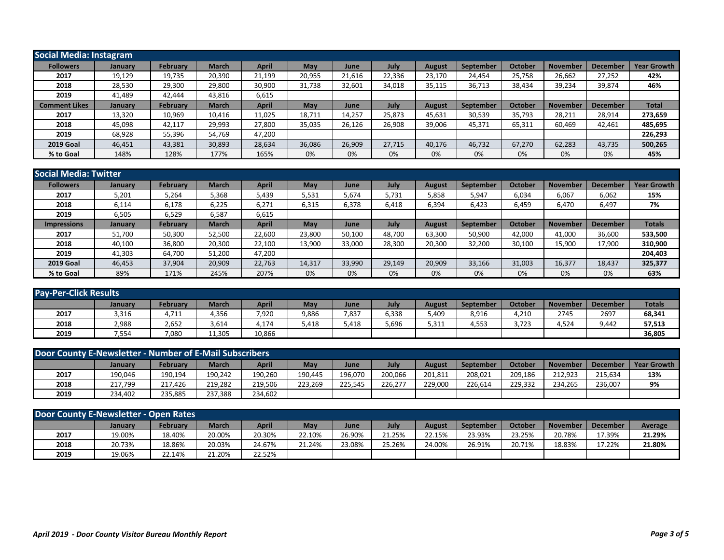|                      | <b>Social Media: Instagram</b> |                 |              |              |        |        |        |               |           |         |                 |                 |                    |  |
|----------------------|--------------------------------|-----------------|--------------|--------------|--------|--------|--------|---------------|-----------|---------|-----------------|-----------------|--------------------|--|
| <b>Followers</b>     | <b>January</b>                 | <b>February</b> | <b>March</b> | April        | May    | June   | July   | <b>August</b> | September | October | <b>November</b> | December        | <b>Year Growth</b> |  |
| 2017                 | 19,129                         | 19,735          | 20,390       | 21,199       | 20,955 | 21,616 | 22,336 | 23,170        | 24,454    | 25,758  | 26,662          | 27,252          | 42%                |  |
| 2018                 | 28,530                         | 29,300          | 29,800       | 30,900       | 31,738 | 32,601 | 34,018 | 35,115        | 36,713    | 38,434  | 39,234          | 39,874          | 46%                |  |
| 2019                 | 41,489                         | 42,444          | 43,816       | 6,615        |        |        |        |               |           |         |                 |                 |                    |  |
| <b>Comment Likes</b> | January                        | <b>February</b> | March        | <b>April</b> | May    | June   | July   | <b>August</b> | September | October | <b>November</b> | <b>December</b> | <b>Total</b>       |  |
| 2017                 | 13,320                         | 10,969          | 10,416       | 11,025       | 18,711 | 14,257 | 25,873 | 45,631        | 30,539    | 35,793  | 28,211          | 28,914          | 273,659            |  |
| 2018                 | 45,098                         | 42,117          | 29,993       | 27,800       | 35,035 | 26,126 | 26,908 | 39,006        | 45,371    | 65,311  | 60,469          | 42,461          | 485,695            |  |
| 2019                 | 68,928                         | 55,396          | 54,769       | 47,200       |        |        |        |               |           |         |                 |                 | 226,293            |  |
| <b>2019 Goal</b>     | 46,451                         | 43,381          | 30,893       | 28,634       | 36,086 | 26,909 | 27,715 | 40,176        | 46,732    | 67,270  | 62,283          | 43,735          | 500,265            |  |
| % to Goal            | 148%                           | 128%            | 177%         | 165%         | 0%     | 0%     | 0%     | 0%            | 0%        | 0%      | 0%              | 0%              | 45%                |  |

| Social Media: Twitter |                |                 |              |              |        |        |        |               |                  |         |                 |                 |                    |
|-----------------------|----------------|-----------------|--------------|--------------|--------|--------|--------|---------------|------------------|---------|-----------------|-----------------|--------------------|
| <b>Followers</b>      | <b>January</b> | <b>February</b> | <b>March</b> | <b>April</b> | May    | June   | July   | <b>August</b> | September        | October | <b>November</b> | December        | <b>Year Growth</b> |
| 2017                  | 5,201          | 5,264           | 5,368        | 5,439        | 5,531  | 5,674  | 5,731  | 5,858         | 5,947            | 6,034   | 6,067           | 6,062           | 15%                |
| 2018                  | 6,114          | 6,178           | 6,225        | 6,271        | 6,315  | 6,378  | 6,418  | 6,394         | 6,423            | 6,459   | 6,470           | 6,497           | 7%                 |
| 2019                  | 6,505          | 6,529           | 6,587        | 6,615        |        |        |        |               |                  |         |                 |                 |                    |
| <b>Impressions</b>    | January        | <b>February</b> | <b>March</b> | <b>April</b> | May    | June   | July   | <b>August</b> | <b>September</b> | October | <b>November</b> | <b>December</b> | <b>Totals</b>      |
| 2017                  | 51,700         | 50,300          | 52,500       | 22,600       | 23,800 | 50,100 | 48,700 | 63,300        | 50,900           | 42,000  | 41,000          | 36,600          | 533,500            |
| 2018                  | 40,100         | 36,800          | 20,300       | 22,100       | 13,900 | 33,000 | 28,300 | 20,300        | 32,200           | 30,100  | 15,900          | 17,900          | 310,900            |
| 2019                  | 41,303         | 64,700          | 51,200       | 47,200       |        |        |        |               |                  |         |                 |                 | 204,403            |
| <b>2019 Goal</b>      | 46,453         | 37,904          | 20,909       | 22,763       | 14,317 | 33,990 | 29,149 | 20,909        | 33,166           | 31,003  | 16,377          | 18,437          | 325,377            |
| % to Goal             | 89%            | 171%            | 245%         | 207%         | 0%     | 0%     | 0%     | 0%            | 0%               | 0%      | 0%              | 0%              | 63%                |

| <b>Pay-Per-Click Results</b> |         |                 |              |              |       |       |       |        |           |         |                 |                 |               |
|------------------------------|---------|-----------------|--------------|--------------|-------|-------|-------|--------|-----------|---------|-----------------|-----------------|---------------|
|                              | Januarv | <b>February</b> | <b>March</b> | <b>April</b> | May   | June  | July  | August | September | October | <b>November</b> | <b>December</b> | <b>Totals</b> |
| 2017                         | 3,316   | 4,711           | 1,356        | 7,920        | 9,886 | 7,837 | 6,338 | 409,د  | 8,916     | 4,210   | 2745            | 2697            | 68,341        |
| 2018                         | 2,988   | 2,652           | 3,614        | 4,174        | 5,418 | 5,418 | 5,696 | 5,311  | 1,553     | 3,723   | 4,524           | 9,442           | 57,513        |
| 2019                         | 7,554   | 7,080           | 11,305       | 10,866       |       |       |       |        |           |         |                 |                 | 36,805        |

| Door County E-Newsletter - Number of E-Mail Subscribers |                |                 |         |              |         |         |         |         |                  |         |          |                 |                    |
|---------------------------------------------------------|----------------|-----------------|---------|--------------|---------|---------|---------|---------|------------------|---------|----------|-----------------|--------------------|
|                                                         | <b>January</b> | <b>February</b> | March   | <b>April</b> | May     | June    | July    | August  | <b>September</b> | October | November | <b>December</b> | <b>Year Growth</b> |
| 2017                                                    | 190,046        | 190,194         | 190,242 | 190,260      | 190,445 | 196,070 | 200,066 | 201,811 | 208,021          | 209,186 | 212,923  | 215,634         | 13%                |
| 2018                                                    | 217,799        | 217,426         | 219,282 | 219,506      | 223,269 | 225,545 | 226,277 | 229,000 | 226,614          | 229,332 | 234,265  | 236,007         | 9%                 |
| 2019                                                    | 234,402        | 235,885         | 237,388 | 234,602      |         |         |         |         |                  |         |          |                 |                    |

| Door County E-Newsletter - Open Rates |         |                 |        |              |        |        |        |        |           |         |          |                 |         |
|---------------------------------------|---------|-----------------|--------|--------------|--------|--------|--------|--------|-----------|---------|----------|-----------------|---------|
|                                       | January | <b>February</b> | March  | <b>April</b> | May    | June   | July   | August | September | October | November | <b>December</b> | Average |
| 2017                                  | 19.00%  | 18.40%          | 20.00% | 20.30%       | 22.10% | 26.90% | 21.25% | 22.15% | 23.93%    | 23.25%  | 20.78%   | 17.39%          | 21.29%  |
| 2018                                  | 20.73%  | 18.86%          | 20.03% | 24.67%       | 21.24% | 23.08% | 25.26% | 24.00% | 26.91%    | 20.71%  | 18.83%   | 17.22%          | 21.80%  |
| 2019                                  | 19.06%  | 22.14%          | 21.20% | 22.52%       |        |        |        |        |           |         |          |                 |         |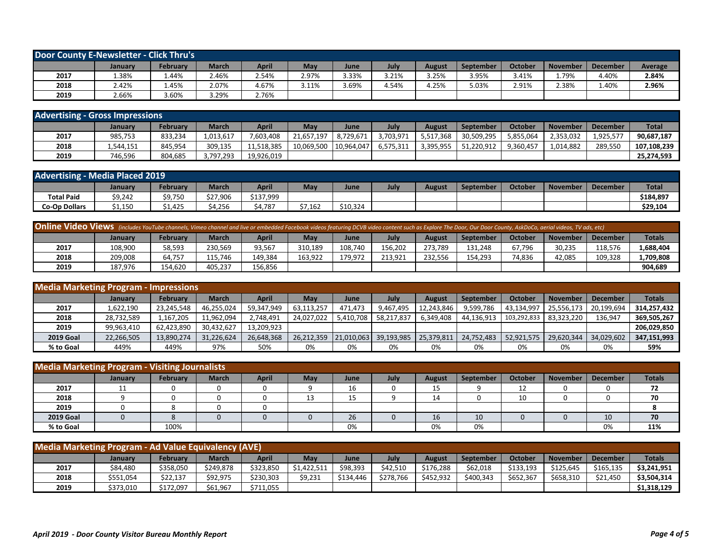| Door County E-Newsletter - Click Thru's |         |          |       |              |       |       |       |               |           |                |          |                 |         |
|-----------------------------------------|---------|----------|-------|--------------|-------|-------|-------|---------------|-----------|----------------|----------|-----------------|---------|
|                                         | January | February | March | <b>April</b> | May   | June  | July  | <b>August</b> | September | <b>October</b> | November | <b>December</b> | Average |
| 2017                                    | L.38%   | 1.44%    | 2.46% | 2.54%        | 2.97% | 3.33% | 3.21% | 3.25%         | 3.95%     | 3.41%          | .79%     | 4.40%           | 2.84%   |
| 2018                                    | 2.42%   | 1.45%    | 2.07% | 4.67%        | 3.11% | 3.69% | 4.54% | 4.25%         | 5.03%     | 2.91%          | 2.38%    | 1.40%           | 2.96%   |
| 2019                                    | 2.66%   | 3.60%    | 3.29% | 2.76%        |       |       |       |               |           |                |          |                 |         |

| <b>Advertising - Gross Impressions</b> |           |          |           |            |            |            |           |           |                  |           |                 |                 |              |
|----------------------------------------|-----------|----------|-----------|------------|------------|------------|-----------|-----------|------------------|-----------|-----------------|-----------------|--------------|
|                                        | Januarv   | February | March     | April      | May        | June       | July      | August    | <b>September</b> | October   | <b>November</b> | <b>December</b> | <b>Total</b> |
| 2017                                   | 985,753   | 833,234  | 1,013,617 | 7,603,408  | 21,657,197 | 8,729,671  | 3,703,971 | 5,517,368 | 30,509,295       | 5,855,064 | 2,353,032       | 1,925,57        | 90,687,187   |
| 2018                                   | 1,544,151 | 845,954  | 309,135   | 11,518,385 | 10,069,500 | 10,964,047 | 6,575,311 | 3,395,955 | 51,220,912       | 9,360,457 | 1,014,882       | 289,550         | 107,108,239  |
| 2019                                   | 746,596   | 804,685  | 3,797,293 | 19,926,019 |            |            |           |           |                  |           |                 |                 | 25,274,593   |

| <b>Advertising - Media Placed 2019</b> |         |                           |          |           |               |          |      |               |           |                |                 |                 |              |
|----------------------------------------|---------|---------------------------|----------|-----------|---------------|----------|------|---------------|-----------|----------------|-----------------|-----------------|--------------|
|                                        | January | Februarv                  | March    | April     | $\mathsf{Ma}$ | June     | July | <b>August</b> | September | <b>October</b> | <b>November</b> | <b>December</b> | <b>Total</b> |
| <b>Total Paid</b>                      | \$9,242 | $\sim$ 75 $\sim$<br>9.750 | \$27,906 | \$137,999 |               |          |      |               |           |                |                 |                 | \$184,897    |
| <b>Co-Op Dollars</b>                   | \$1,150 | 1,425                     | 4,256ز   | 4,787     | \$7,162       | \$10,324 |      |               |           |                |                 |                 | \$29,104     |

| <b>Online Video Views</b> (includes YouTube channels, Vimeo channel and live or embedded Facebook videos featuring DCVB video content such as Explore The Door, Our Door County, AskDoCo, aerial videos, TV ads, etc) |         |                 |              |              |         |         |         |               |                  |         |                 |                 |               |
|-----------------------------------------------------------------------------------------------------------------------------------------------------------------------------------------------------------------------|---------|-----------------|--------------|--------------|---------|---------|---------|---------------|------------------|---------|-----------------|-----------------|---------------|
|                                                                                                                                                                                                                       | Januarv | <b>February</b> | <b>March</b> | <b>April</b> | May     | June    | Julv    | <b>August</b> | <b>September</b> | October | <b>November</b> | <b>December</b> | <b>Totals</b> |
| 2017                                                                                                                                                                                                                  | 108,900 | 58,593          | 230,569      | 93,567       | 310,189 | 108,740 | 156,202 | 273,789       | 131,248          | 67,796  | 30,235          | 118,576         | 1,688,404     |
| 2018                                                                                                                                                                                                                  | 209,008 | 64,757          | 115,746      | 149,384      | 163,922 | 179,972 | 213,921 | 232,556       | 154,293          | 74,836  | 12,085          | 109,328         | 1,709,808     |
| 2019                                                                                                                                                                                                                  | 187,976 | 154,620         | 405,237      | 156,856      |         |         |         |               |                  |         |                 |                 | 904,689       |

| <b>Media Marketing Program - Impressions</b> |            |            |              |            |            |           |                       |               |                  |                          |                 |                 |               |
|----------------------------------------------|------------|------------|--------------|------------|------------|-----------|-----------------------|---------------|------------------|--------------------------|-----------------|-----------------|---------------|
|                                              | January    | February   | <b>March</b> | April      | May        | June      | July                  | <b>August</b> | <b>September</b> | October                  | <b>November</b> | <b>December</b> | <b>Totals</b> |
| 2017                                         | 1,622,190  | 23,245,548 | 46,255,024   | 59,347,949 | 63,113,257 | 471,473   | 9,467,495             | 12,243,846    | 9,599,786        | 43,134,997               | 25,556,173      | 20,199,694      | 314,257,432   |
| 2018                                         | 28,732,589 | 1,167,205  | 11,962,094   | 2,748,491  | 24,027,022 | 5,410,708 | 58,217,837            | 6,349,408     | 44,136,913       | 103,292,833   83,323,220 |                 | 136,947         | 369,505,267   |
| 2019                                         | 99,963,410 | 62,423,890 | 30,432,627   | 13,209,923 |            |           |                       |               |                  |                          |                 |                 | 206,029,850   |
| <b>2019 Goal</b>                             | 22,266,505 | 13,890,274 | 31,226,624   | 26,648,368 | 26,212,359 |           | 21,010,063 39,193,985 | 25,379,811    | 24,752,483       | 52,921,575               | 29,620,344      | 34,029,602      | 347,151,993   |
| % to Goal                                    | 449%       | 449%       | 97%          | 50%        | 0%         | 0%        | 0%                    | 0%            | 0%               | 0%                       | 0%              | 0%              | 59%           |

| <b>Media Marketing Program - Visiting Journalists</b> |         |                   |              |       |     |             |      |               |           |                |                 |                 |               |
|-------------------------------------------------------|---------|-------------------|--------------|-------|-----|-------------|------|---------------|-----------|----------------|-----------------|-----------------|---------------|
|                                                       | January | February          | <b>March</b> | April | May | <b>June</b> | July | <b>August</b> | September | <b>October</b> | <b>November</b> | <b>December</b> | <b>Totals</b> |
| 2017                                                  | ᆠᆂ      |                   |              |       |     | 16          |      | 4 F<br>ᅩ      |           | ∸∸             |                 |                 | 72            |
| 2018                                                  |         | 0                 |              |       | LΟ  | ᅩ           |      | 14            |           | 10             |                 |                 | 70            |
| 2019                                                  |         | $\mathbf{\Omega}$ |              |       |     |             |      |               |           |                |                 |                 |               |
| <b>2019 Goal</b>                                      |         |                   |              |       |     | 26          |      | 16            | 10        |                |                 | 10              | 70            |
| % to Goal                                             |         | 100%              |              |       |     | 0%          |      | 0%            | 0%        |                |                 | 0%              | 11%           |

| <b>Media Marketing Program - Ad Value Equivalency (AVE)</b> |           |           |              |              |             |           |           |               |           |           |           |                 |               |
|-------------------------------------------------------------|-----------|-----------|--------------|--------------|-------------|-----------|-----------|---------------|-----------|-----------|-----------|-----------------|---------------|
|                                                             | January   | Februarv  | <b>March</b> | <b>April</b> | May         | June      | Julv      | <b>August</b> | September | October   | November  | <b>December</b> | <b>Totals</b> |
| 2017                                                        | \$84,480  | \$358,050 | \$249,878    | \$323,850    | \$1,422,511 | \$98,393  | \$42,510  | \$176,288     | \$62,018  | \$133,193 | \$125,645 | \$165,135       | \$3,241,951   |
| 2018                                                        | \$551,054 | \$22,137  | \$92,975     | \$230,303    | \$9,231     | \$134,446 | \$278,766 | \$452,932     | \$400,343 | \$652,367 | \$658,310 | \$21,450        | \$3,504,314   |
| 2019                                                        | \$373,010 | \$172,097 | \$61,967     | \$711,055    |             |           |           |               |           |           |           |                 | \$1,318,129   |